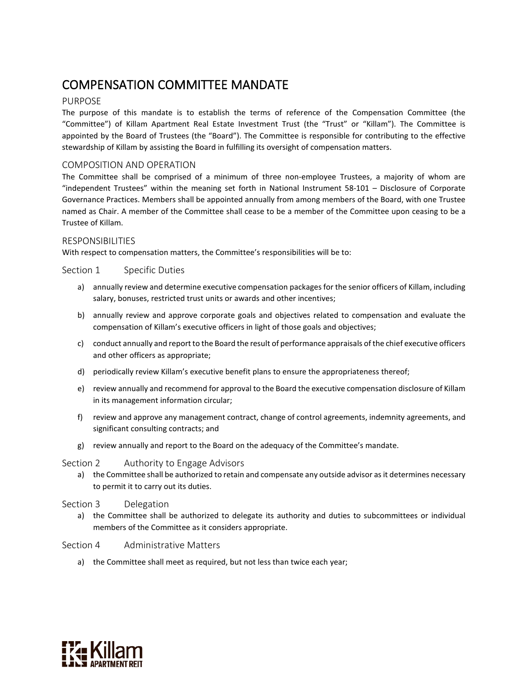# COMPENSATION COMMITTEE MANDATE

## PURPOSE

The purpose of this mandate is to establish the terms of reference of the Compensation Committee (the "Committee") of Killam Apartment Real Estate Investment Trust (the "Trust" or "Killam"). The Committee is appointed by the Board of Trustees (the "Board"). The Committee is responsible for contributing to the effective stewardship of Killam by assisting the Board in fulfilling its oversight of compensation matters.

### COMPOSITION AND OPERATION

The Committee shall be comprised of a minimum of three non-employee Trustees, a majority of whom are "independent Trustees" within the meaning set forth in National Instrument 58-101 – Disclosure of Corporate Governance Practices. Members shall be appointed annually from among members of the Board, with one Trustee named as Chair. A member of the Committee shall cease to be a member of the Committee upon ceasing to be a Trustee of Killam.

#### RESPONSIBILITIES

With respect to compensation matters, the Committee's responsibilities will be to:

#### Section 1 Specific Duties

- a) annually review and determine executive compensation packages for the senior officers of Killam, including salary, bonuses, restricted trust units or awards and other incentives;
- b) annually review and approve corporate goals and objectives related to compensation and evaluate the compensation of Killam's executive officers in light of those goals and objectives;
- c) conduct annually and report to the Board the result of performance appraisals of the chief executive officers and other officers as appropriate;
- d) periodically review Killam's executive benefit plans to ensure the appropriateness thereof;
- e) review annually and recommend for approval to the Board the executive compensation disclosure of Killam in its management information circular;
- f) review and approve any management contract, change of control agreements, indemnity agreements, and significant consulting contracts; and
- g) review annually and report to the Board on the adequacy of the Committee's mandate.

#### Section 2 Authority to Engage Advisors

a) the Committee shall be authorized to retain and compensate any outside advisor as it determines necessary to permit it to carry out its duties.

#### Section 3 Delegation

a) the Committee shall be authorized to delegate its authority and duties to subcommittees or individual members of the Committee as it considers appropriate.

## Section 4 Administrative Matters

a) the Committee shall meet as required, but not less than twice each year;